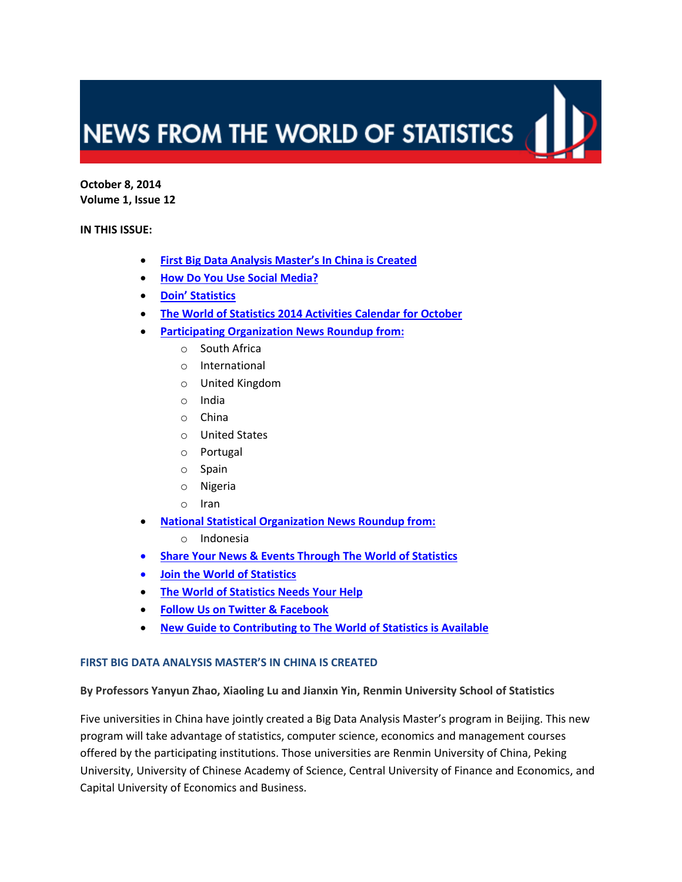# NEWS FROM THE WORLD OF STATISTICS

**October 8, 2014 Volume 1, Issue 12**

**IN THIS ISSUE:**

- **[First Big Data Analysis Master's In China is Created](#page-0-0)**
- **[How Do You Use Social Media?](#page-2-0)**
- **[Doin' Statistics](#page-2-1)**
- **[The World of Statistics 2014 Activities Calendar for](#page-3-0) October**
- **[Participating Organization News Roundup from:](#page-5-0)**
	- o South Africa
	- o International
	- o United Kingdom
	- o India
	- o China
	- o United States
	- o Portugal
	- o Spain
	- o Nigeria
	- o Iran
- **[National Statistical Organization News Roundup from:](#page-14-0)**
	- o Indonesia
- **[Share Your News & Events Through](#page-15-0) The World of Statistics**
- **[Join the World of Statistics](#page-15-1)**
- **[The World of Statistics Needs Your Help](#page-15-2)**
- **[Follow Us on Twitter & Facebook](#page-16-0)**
- **[New Guide to Contributing to The World of Statistics is Available](#page-16-1)**

#### <span id="page-0-0"></span>**FIRST BIG DATA ANALYSIS MASTER'S IN CHINA IS CREATED**

**By Professors Yanyun Zhao, Xiaoling Lu and Jianxin Yin, Renmin University School of Statistics**

Five universities in China have jointly created a Big Data Analysis Master's program in Beijing. This new program will take advantage of statistics, computer science, economics and management courses offered by the participating institutions. Those universities are Renmin University of China, Peking University, University of Chinese Academy of Science, Central University of Finance and Economics, and Capital University of Economics and Business.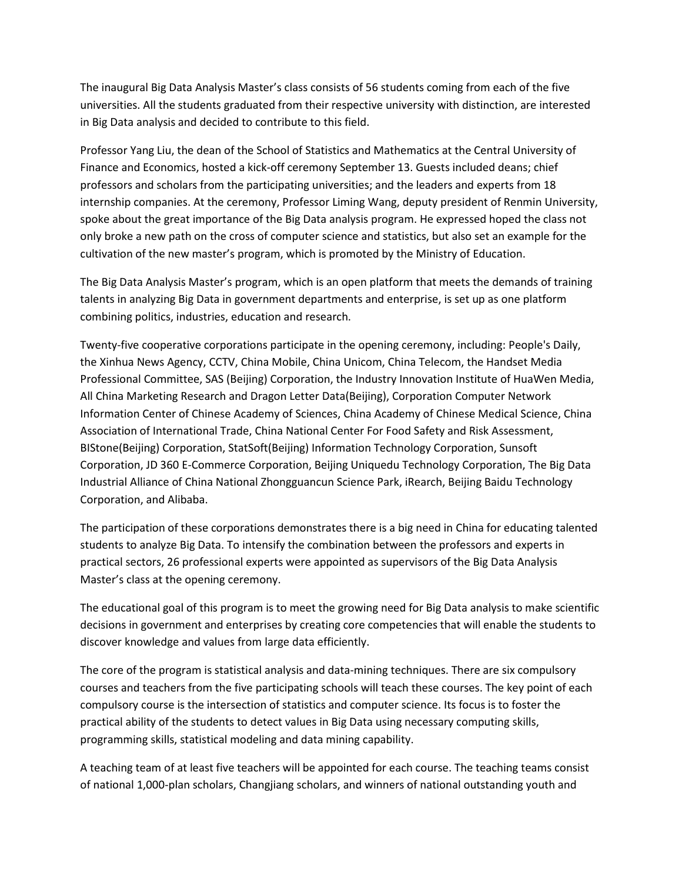The inaugural Big Data Analysis Master's class consists of 56 students coming from each of the five universities. All the students graduated from their respective university with distinction, are interested in Big Data analysis and decided to contribute to this field.

Professor Yang Liu, the dean of the School of Statistics and Mathematics at the Central University of Finance and Economics, hosted a kick-off ceremony September 13. Guests included deans; chief professors and scholars from the participating universities; and the leaders and experts from 18 internship companies. At the ceremony, Professor Liming Wang, deputy president of Renmin University, spoke about the great importance of the Big Data analysis program. He expressed hoped the class not only broke a new path on the cross of computer science and statistics, but also set an example for the cultivation of the new master's program, which is promoted by the Ministry of Education.

The Big Data Analysis Master's program, which is an open platform that meets the demands of training talents in analyzing Big Data in government departments and enterprise, is set up as one platform combining politics, industries, education and research.

Twenty-five cooperative corporations participate in the opening ceremony, including[: People's](http://dict.youdao.com/w/people) [Daily,](http://dict.youdao.com/w/daily/) [the](http://dict.youdao.com/w/the/) [Xinhua](http://dict.youdao.com/w/xinhua/) [News](http://dict.youdao.com/w/news/) [Agency,](http://dict.youdao.com/w/agency/) [CCTV,](http://dict.youdao.com/w/cctv/) [China](http://dict.youdao.com/search?q=China&keyfrom=E2Ctranslation) [Mobile,](http://dict.youdao.com/w/mobile/) [China](http://dict.youdao.com/w/china/) [Unicom,](http://dict.youdao.com/w/unicom/) [China](http://dict.youdao.com/w/china/) [Telecom,](http://dict.youdao.com/w/telecom/) the Handset Media Professional Committee, SAS (Beijing) Corporation, the Industry Innovation Institute of HuaWen Media, All China Marketing Research and Dragon Letter Data(Beijing), Corporation Computer Network Information Center of Chinese Academy of Sciences, China Academy of Chinese Medical Science, China Association of International Trade, China National Center For Food Safety and Risk Assessment, BIStone(Beijing) Corporation, StatSoft(Beijing) Information Technology Corporation, Sunsoft Corporation, JD 360 [E-Commerce](http://dict.youdao.com/w/e-commerce/) Corporation, Beijing Uniquedu Technology Corporation, The Big Data Industrial Alliance of China National Zhongguancun Science Park, iRearch, Beijing Baidu Technology Corporation, and Alibaba.

The participation of these corporations demonstrates there is a big need in China for educating talented students to analyze Big Data. To intensify the combination between the professors and experts in practical sectors, 26 professional experts were appointed as supervisors of the Big Data Analysis Master's class at the opening ceremony.

The educational goal of this program is to meet the growing need for Big Data analysis to make scientific decisions in government and enterprises by creating core competencies that will enable the students to discover knowledge and values from large data efficiently.

The core of the program is statistical analysis and data-mining techniques. There are six compulsory courses and teachers from the five participating schools will teach these courses. The key point of each compulsory course is the intersection of statistics and computer science. Its focus is to foster the practical ability of the students to detect values in Big Data using necessary computing skills, programming skills, statistical modeling and data mining capability.

A teaching team of at least five teachers will be appointed for each course. The teaching teams consist of national 1,000-plan scholars, Changjiang scholars, and winners of national outstanding youth and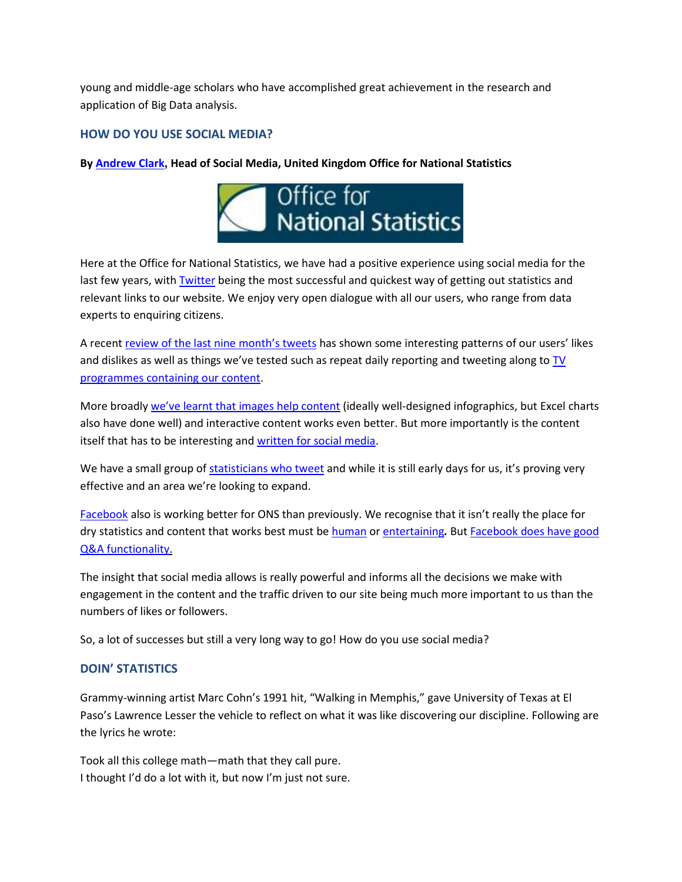young and middle-age scholars who have accomplished great achievement in the research and application of Big Data analysis.

## <span id="page-2-0"></span>**HOW DO YOU USE SOCIAL MEDIA?**

#### **By [Andrew Clark](https://twitter.com/oi_rambo), Head of Social Media, United Kingdom Office for National Statistics**



Here at the Office for National Statistics, we have had a positive experience using social media for the last few years, with **Twitter** being the most successful and quickest way of getting out statistics and relevant links to our website. We enjoy very open dialogue with all our users, who range from data experts to enquiring citizens.

A recent [review of the last nine](http://digitalpublishing.ons.gov.uk/2014/08/12/twitter-analytics-ons-over-the-last-9-months/) month's tweets has shown some interesting patterns of our users' likes and dislikes as well as things we've tested such as repeat daily reporting and tweeting along to [TV](https://storify.com/ONS/mindthegap)  [programmes containing our content.](https://storify.com/ONS/mindthegap)

More broadly we'[ve learnt that images help content](http://digitalpublishing.ons.gov.uk/2014/06/12/optimising-social-media-content/) (ideally well-designed infographics, but Excel charts also have done well) and interactive content works even better. But more importantly is the content itself that has to be interesting and [written for social media.](http://digitalpublishing.ons.gov.uk/2014/02/13/writing-for-social-media-ons/)

We have a small group of [statisticians who tweet](https://twitter.com/ONS/lists/statisticians) and while it is still early days for us, it's proving very effective and an area we're looking to expand.

[Facebook](http://www.facebook.com/ons) also is working better for ONS than previously. We recognise that it isn't really the place for dry statistics and content that works best must be [human](https://www.facebook.com/media/set/?set=a.636576186424239.1073741836.119664074782122&type=3) or [entertaining](https://www.facebook.com/media/set/?set=a.676074279141096.1073741845.119664074782122&type=1)*.* But [Facebook does have good](http://digitalpublishing.ons.gov.uk/2014/08/07/qa-on-digitalday/)  [Q&A functionality.](http://digitalpublishing.ons.gov.uk/2014/08/07/qa-on-digitalday/)

The insight that social media allows is really powerful and informs all the decisions we make with engagement in the content and the traffic driven to our site being much more important to us than the numbers of likes or followers.

So, a lot of successes but still a very long way to go! How do you use social media?

## <span id="page-2-1"></span>**DOIN' STATISTICS**

Grammy-winning artist Marc Cohn's 1991 hit, "Walking in Memphis," gave University of Texas at El Paso's Lawrence Lesser the vehicle to reflect on what it was like discovering our discipline. Following are the lyrics he wrote:

Took all this college math—math that they call pure. I thought I'd do a lot with it, but now I'm just not sure.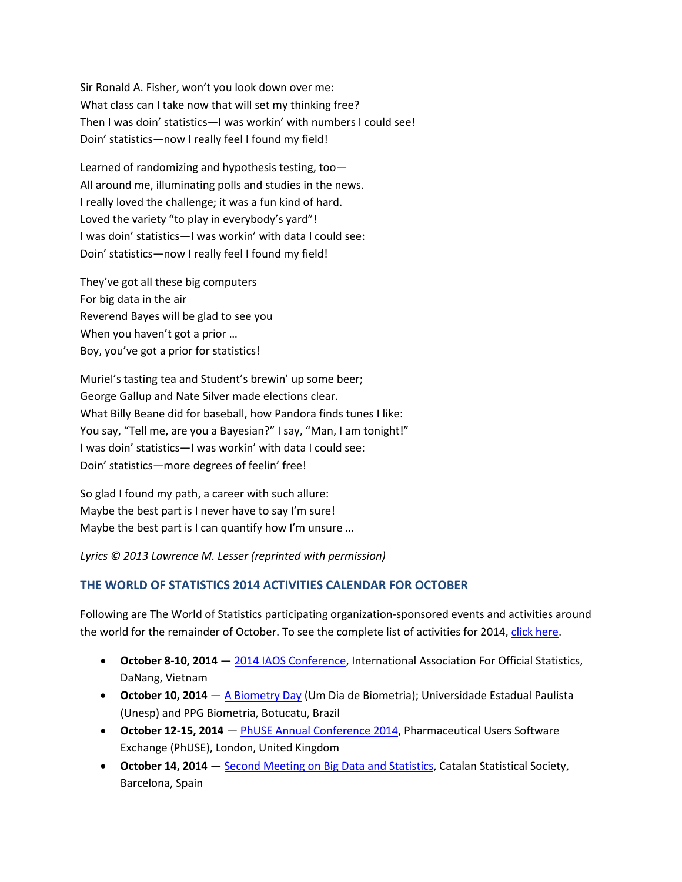Sir Ronald A. Fisher, won't you look down over me: What class can I take now that will set my thinking free? Then I was doin' statistics—I was workin' with numbers I could see! Doin' statistics—now I really feel I found my field!

Learned of randomizing and hypothesis testing, too— All around me, illuminating polls and studies in the news. I really loved the challenge; it was a fun kind of hard. Loved the variety "to play in everybody's yard"! I was doin' statistics—I was workin' with data I could see: Doin' statistics—now I really feel I found my field!

They've got all these big computers For big data in the air Reverend Bayes will be glad to see you When you haven't got a prior … Boy, you've got a prior for statistics!

Muriel's tasting tea and Student's brewin' up some beer; George Gallup and Nate Silver made elections clear. What Billy Beane did for baseball, how Pandora finds tunes I like: You say, "Tell me, are you a Bayesian?" I say, "Man, I am tonight!" I was doin' statistics—I was workin' with data I could see: Doin' statistics—more degrees of feelin' free!

So glad I found my path, a career with such allure: Maybe the best part is I never have to say I'm sure! Maybe the best part is I can quantify how I'm unsure …

*Lyrics © 2013 Lawrence M. Lesser (reprinted with permission)*

## <span id="page-3-0"></span>**THE WORLD OF STATISTICS 2014 ACTIVITIES CALENDAR FOR OCTOBER**

Following are The World of Statistics participating organization-sponsored events and activities around the world for the remainder of October. To see the complete list of activities for 2014, [click here.](http://www.worldofstatistics.org/global-supporters/the-world-of-statistics-2014-activities-calendar/)

- **October 8-10, 2014** [2014 IAOS Conference,](http://iaos2014.gso.gov.vn/) International Association For Official Statistics, DaNang, Vietnam
- **October 10, 2014** [A Biometry Day](http://www.gi9.com.br/biometria/) (Um Dia de Biometria); Universidade Estadual Paulista (Unesp) and PPG Biometria, Botucatu, Brazil
- **October 12-15, 2014** [PhUSE Annual Conference 2014,](http://www.phuse.eu/annual-conference.aspx) Pharmaceutical Users Software Exchange (PhUSE), London, United Kingdom
- **October 14, 2014** [Second Meeting on Big Data and Statistics,](http://www.socestadistica.org/) Catalan Statistical Society, Barcelona, Spain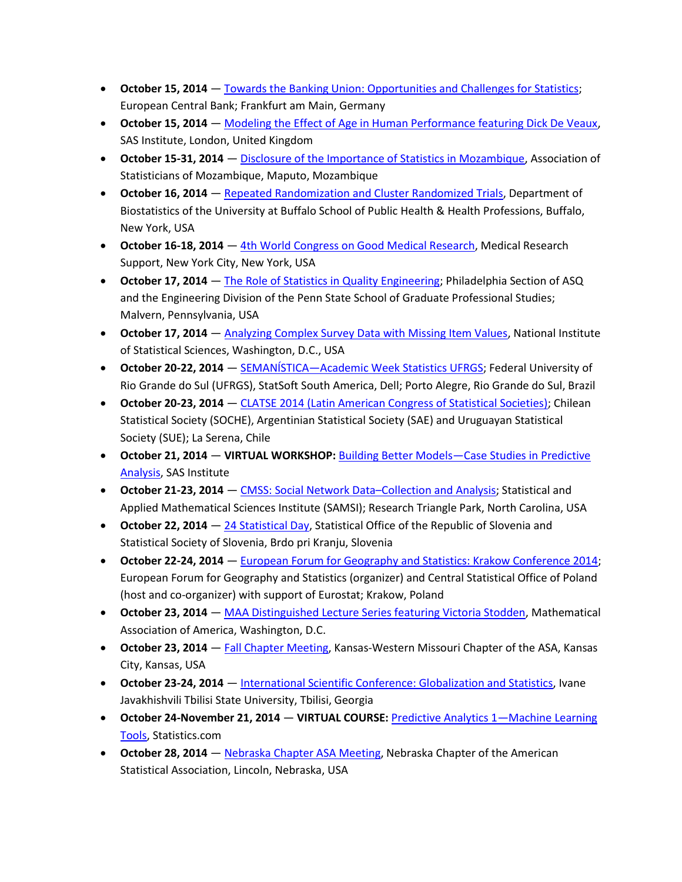- **October 15, 2014** [Towards the Banking Union: Opportunities and Challenges for Statistics;](http://www.ecb.europa.eu/events/conferences/html/7th_stats_conf.en.html) European Central Bank; Frankfurt am Main, Germany
- **October 15, 2014** [Modeling the Effect of Age in Human Performance featuring Dick De Veaux,](http://www.jmp.com/uk/about/events/conferences/seminar_detail.shtml?reglink=70114000002JBLU) SAS Institute, London, United Kingdom
- **October 15-31, 2014** [Disclosure of the Importance of Statistics in Mozambique,](http://www.ine.gov.mz/) Association of Statisticians of Mozambique, Maputo, Mozambique
- **October 16, 2014** [Repeated Randomization and Cluster Randomized Trials,](http://sphhp.buffalo.edu/biostatistics/news-events/upcoming-events.html?event=20761) Department of Biostatistics of the University at Buffalo School of Public Health & Health Professions, Buffalo, New York, USA
- **October 16-18, 2014** [4th World Congress on Good Medical Research,](https://www.medicres.org/gmr-congress-2014.html) Medical Research Support, New York City, New York, USA
- **October 17, 2014** [The Role of Statistics in Quality Engineering;](http://www.sgps.psu.edu/Academics/33503.htm) Philadelphia Section of ASQ and the Engineering Division of the Penn State School of Graduate Professional Studies; Malvern, Pennsylvania, USA
- **October 17, 2014 Analyzing Complex Survey Data with Missing Item Values**, National Institute of Statistical Sciences, Washington, D.C., USA
- **October 20-22, 2014** SEMANÍSTICA—[Academic Week Statistics UFRGS;](http://www.ufrgs.br/semanistica) Federal University of Rio Grande do Sul (UFRGS), StatSoft South America, Dell; Porto Alegre, Rio Grande do Sul, Brazil
- **October 20-23, 2014** [CLATSE 2014 \(Latin American Congress of Statistical Societies\);](http://clatse.cl/) Chilean Statistical Society (SOCHE), Argentinian Statistical Society (SAE) and Uruguayan Statistical Society (SUE); La Serena, Chile
- **October 21, 2014 VIRTUAL WORKSHOP:** Building Better Models—[Case Studies in Predictive](http://www.jmp.com/uk/about/events/explorers/webcast_detail.shtml?reglink=701a0000000uBHK&name=Robert%20Anderson)  [Analysis,](http://www.jmp.com/uk/about/events/explorers/webcast_detail.shtml?reglink=701a0000000uBHK&name=Robert%20Anderson) SAS Institute
- **October 21-23, 2014** [CMSS: Social Network Data](http://www.samsi.info/workshop/2013-14-cmss-social-network-data-collection-and-analysis-oct-21-23-2013)–Collection and Analysis; Statistical and Applied Mathematical Sciences Institute (SAMSI); Research Triangle Park, North Carolina, USA
- **October 22, 2014** [24 Statistical Day,](http://www.stat.si/statisticnidnevi/) Statistical Office of the Republic of Slovenia and Statistical Society of Slovenia, Brdo pri Kranju, Slovenia
- **October 22-24, 2014** [European Forum for Geography and Statistics: Krakow Conference 2014;](http://geo.stat.gov.pl/efgs) European Forum for Geography and Statistics (organizer) and Central Statistical Office of Poland (host and co-organizer) with support of Eurostat; Krakow, Poland
- **October 23, 2014** [MAA Distinguished Lecture Series featuring Victoria Stodden,](http://www.maa.org/meetings/calendar-events/maa-distinguished-lecture-series) Mathematical Association of America, Washington, D.C.
- **October 23, 2014** [Fall Chapter Meeting,](http://community.amstat.org/KWMChapter/Home/) Kansas-Western Missouri Chapter of the ASA, Kansas City, Kansas, USA
- **October 23-24, 2014** [International Scientific Conference: Globalization and Statistics,](http://www.tsu.edu.ge/ge/faculties/economics/news/4lz_jCenhrjvx7Nlw/?p=1) Ivane Javakhishvili Tbilisi State University, Tbilisi, Georgia
- **October 24-November 21, 2014 VIRTUAL COURSE:** [Predictive Analytics 1](http://www.statistics.com/predictive-analytics-1/)—Machine Learning [Tools,](http://www.statistics.com/predictive-analytics-1/) Statistics.com
- **October 28, 2014** [Nebraska Chapter ASA Meeting,](http://statistics.unl.edu/ne_asa/index.html) Nebraska Chapter of the American Statistical Association, Lincoln, Nebraska, USA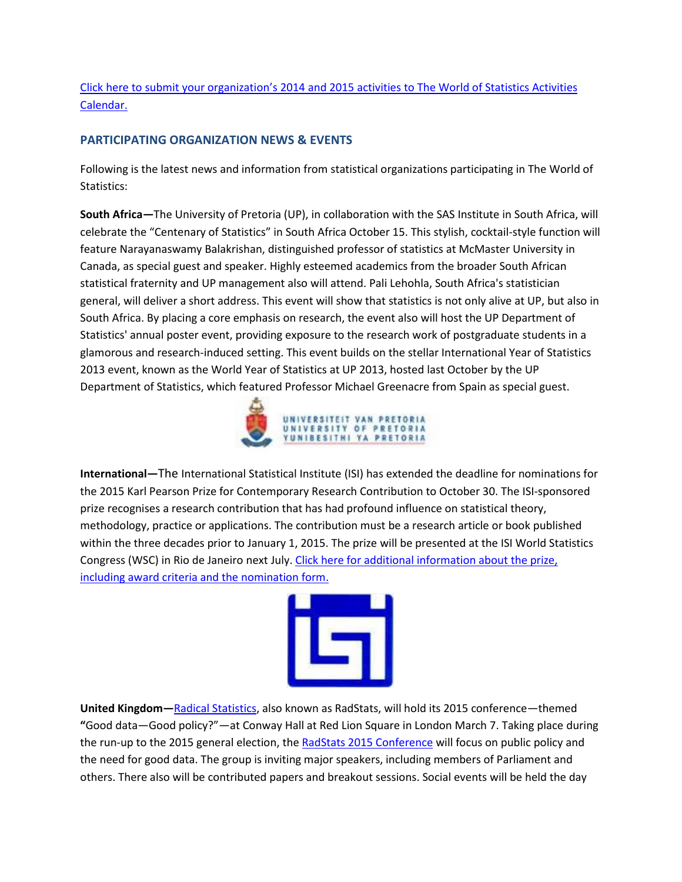Click here to submit your organization's [2014 and 2015 activities to The World of Statistics Activities](http://www.worldofstatistics.org/wos/submitactivity.cfm)  [Calendar.](http://www.worldofstatistics.org/wos/submitactivity.cfm)

## <span id="page-5-0"></span>**PARTICIPATING ORGANIZATION NEWS & EVENTS**

Following is the latest news and information from statistical organizations participating in The World of Statistics:

**South Africa—**The University of Pretoria (UP), in collaboration with the SAS Institute in South Africa, will celebrate the "Centenary of Statistics" in South Africa October 15. This stylish, cocktail-style function will feature Narayanaswamy Balakrishan, distinguished professor of statistics at McMaster University in Canada, as special guest and speaker. Highly esteemed academics from the broader South African statistical fraternity and UP management also will attend. Pali Lehohla, South Africa's statistician general, will deliver a short address. This event will show that statistics is not only alive at UP, but also in South Africa. By placing a core emphasis on research, the event also will host the UP Department of Statistics' annual poster event, providing exposure to the research work of postgraduate students in a glamorous and research-induced setting. This event builds on the stellar International Year of Statistics 2013 event, known as the World Year of Statistics at UP 2013, hosted last October by the UP Department of Statistics, which featured Professor Michael Greenacre from Spain as special guest.



**International—**The International Statistical Institute (ISI) has extended the deadline for nominations for the 2015 Karl Pearson Prize for Contemporary Research Contribution to October 30. The ISI-sponsored prize recognises a research contribution that has had profound influence on statistical theory, methodology, practice or applications. The contribution must be a research article or book published within the three decades prior to January 1, 2015. The prize will be presented at the ISI World Statistics Congress (WSC) in Rio de Janeiro next July. [Click here for additional information about the prize,](http://www.isi-web.org/726)  [including award criteria and the nomination form.](http://www.isi-web.org/726)



**United Kingdom—**[Radical Statistics,](http://www.radstats.org.uk/) also known as RadStats, will hold its 2015 conference—themed **"**Good data—Good policy?"—at Conway Hall at Red Lion Square in London March 7. Taking place during the run-up to the 2015 general election, the [RadStats 2015 Conference](http://www.radstats.org.uk/conference/london2015/) will focus on public policy and the need for good data. The group is inviting major speakers, including members of Parliament and others. There also will be contributed papers and breakout sessions. Social events will be held the day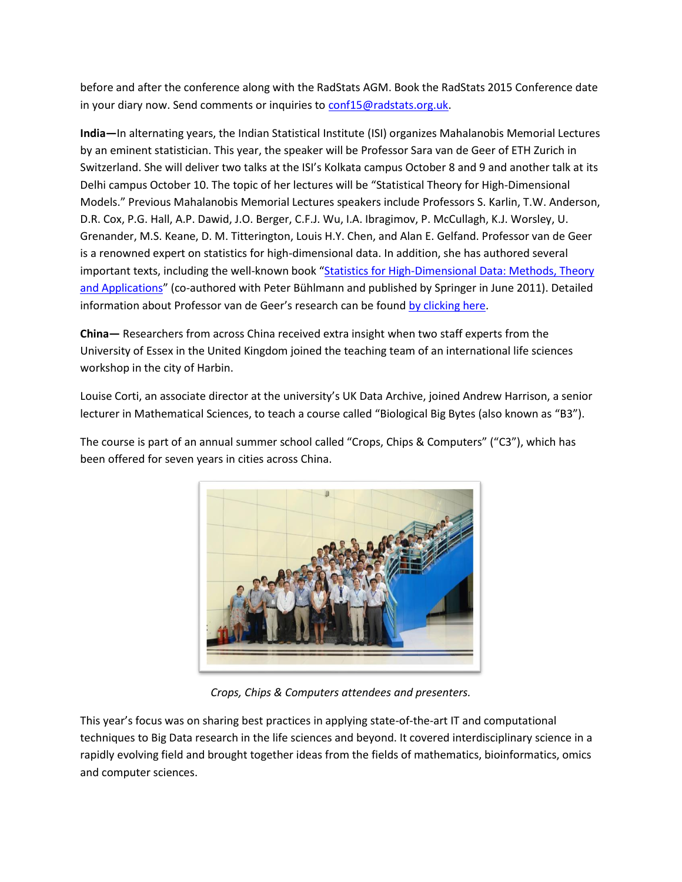before and after the conference along with the RadStats AGM. Book the RadStats 2015 Conference date in your diary now. Send comments or inquiries t[o conf15@radstats.org.uk.](mailto:conf15@radstats.org.uk)

**India—**In alternating years, the Indian Statistical Institute (ISI) organizes Mahalanobis Memorial Lectures by an eminent statistician. This year, the speaker will be Professor Sara van de Geer of ETH Zurich in Switzerland. She will deliver two talks at the ISI's Kolkata campus October 8 and 9 and another talk at its Delhi campus October 10. The topic of her lectures will be "Statistical Theory for High-Dimensional Models." Previous Mahalanobis Memorial Lectures speakers include Professors S. Karlin, T.W. Anderson, D.R. Cox, P.G. Hall, A.P. Dawid, J.O. Berger, C.F.J. Wu, I.A. Ibragimov, P. McCullagh, K.J. Worsley, U. Grenander, M.S. Keane, D. M. Titterington, Louis H.Y. Chen, and Alan E. Gelfand. Professor van de Geer is a renowned expert on statistics for high-dimensional data. In addition, she has authored several important texts, including the well-known book "[Statistics for High-Dimensional Data:](http://www.amazon.com/Statistics-High-Dimensional-Data-Applications-Springer/dp/3642201911) Methods, Theory [and Applications](http://www.amazon.com/Statistics-High-Dimensional-Data-Applications-Springer/dp/3642201911)" (co-authored with Peter Bühlmann and published by Springer in June 2011). Detailed information about Professor van de Geer's research can be found [by clicking here.](http://stat.ethz.ch/~vsara/)

**China—** Researchers from across China received extra insight when two staff experts from the University of Essex in the United Kingdom joined the teaching team of an international life sciences workshop in the city of Harbin.

Louise Corti, an associate director at the university's UK Data Archive, joined Andrew Harrison, a senior lecturer in Mathematical Sciences, to teach a course called "Biological Big Bytes (also known as "B3").

The course is part of an annual summer school called "Crops, Chips & Computers" ("C3"), which has been offered for seven years in cities across China.



*Crops, Chips & Computers attendees and presenters.*

This year's focus was on sharing best practices in applying state-of-the-art IT and computational techniques to Big Data research in the life sciences and beyond. It covered interdisciplinary science in a rapidly evolving field and brought together ideas from the fields of mathematics, bioinformatics, omics and computer sciences.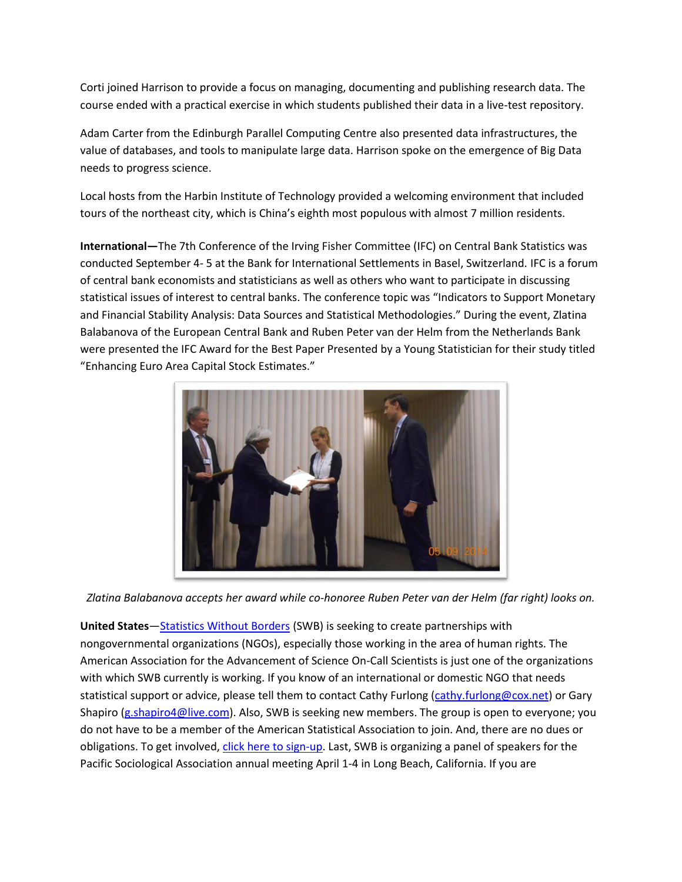Corti joined Harrison to provide a focus on managing, documenting and publishing research data. The course ended with a practical exercise in which students published their data in a live-test repository.

Adam Carter from the Edinburgh Parallel Computing Centre also presented data infrastructures, the value of databases, and tools to manipulate large data. Harrison spoke on the emergence of Big Data needs to progress science.

Local hosts from the Harbin Institute of Technology provided a welcoming environment that included tours of the northeast city, which is China's eighth most populous with almost 7 million residents.

**International—**The 7th Conference of the Irving Fisher Committee (IFC) on Central Bank Statistics was conducted September 4- 5 at the Bank for International Settlements in Basel, Switzerland. IFC is a forum of central bank economists and statisticians as well as others who want to participate in discussing statistical issues of interest to central banks. The conference topic was "Indicators to Support Monetary and Financial Stability Analysis: Data Sources and Statistical Methodologies." During the event, Zlatina Balabanova of the European Central Bank and Ruben Peter van der Helm from the Netherlands Bank were presented the IFC Award for the Best Paper Presented by a Young Statistician for their study titled "Enhancing Euro Area Capital Stock Estimates."



*Zlatina Balabanova accepts her award while co-honoree Ruben Peter van der Helm (far right) looks on.*

**United States**—[Statistics Without Borders](http://community.amstat.org/statisticswithoutborders) (SWB) is seeking to create partnerships with nongovernmental organizations (NGOs), especially those working in the area of human rights. The American Association for the Advancement of Science On-Call Scientists is just one of the organizations with which SWB currently is working. If you know of an international or domestic NGO that needs statistical support or advice, please tell them to contact Cathy Furlong [\(cathy.furlong@cox.net\)](mailto:cathy.furlong@cox.net) or Gary Shapiro [\(g.shapiro4@live.com\)](mailto:g.shapiro4@live.com). Also, SWB is seeking new members. The group is open to everyone; you do not have to be a member of the American Statistical Association to join. And, there are no dues or obligations. To get involved, [click here to sign-up.](http://community.amstat.org/StatisticsWithoutBorders/getinvolved) Last, SWB is organizing a panel of speakers for the Pacific Sociological Association annual meeting April 1-4 in Long Beach, California. If you are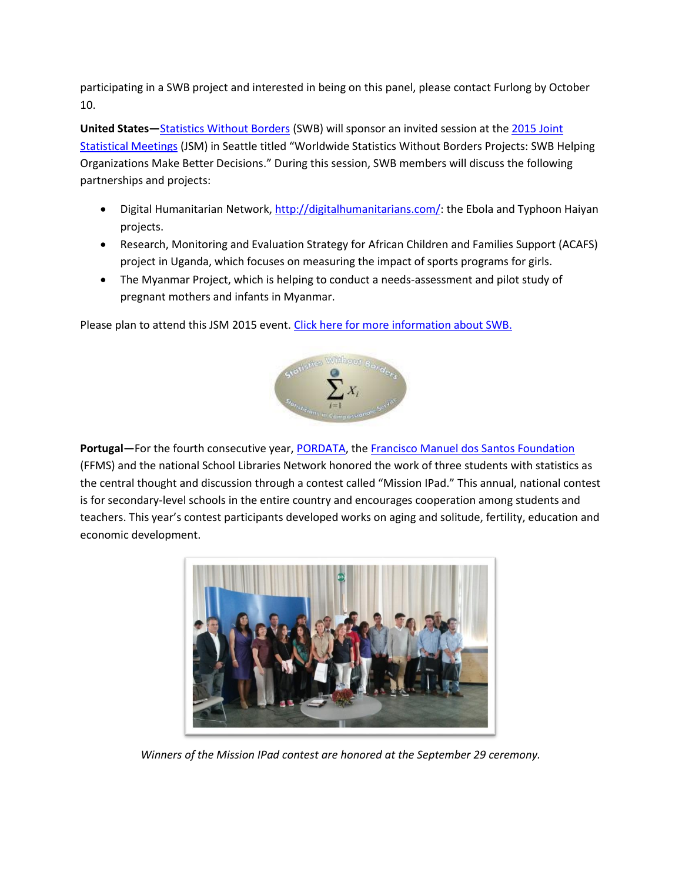participating in a SWB project and interested in being on this panel, please contact Furlong by October 10.

**United States—**[Statistics Without Borders](http://community.amstat.org/statisticswithoutborders) (SWB) will sponsor an invited session at th[e 2015 Joint](http://www.amstat.org/meetings/jsm/2015/index.cfm)  [Statistical Meetings](http://www.amstat.org/meetings/jsm/2015/index.cfm) (JSM) in Seattle titled "Worldwide Statistics Without Borders Projects: SWB Helping Organizations Make Better Decisions." During this session, SWB members will discuss the following partnerships and projects:

- **•** Digital Humanitarian Network, [http://digitalhumanitarians.com/:](http://digitalhumanitarians.com/) the Ebola and Typhoon Haiyan projects.
- Research, Monitoring and Evaluation Strategy for African Children and Families Support (ACAFS) project in Uganda, which focuses on measuring the impact of sports programs for girls.
- The Myanmar Project, which is helping to conduct a needs-assessment and pilot study of pregnant mothers and infants in Myanmar.

Please plan to attend this JSM 2015 event. [Click here for more information about SWB.](http://community.amstat.org/statisticswithoutborders)



**Portugal—**For the fourth consecutive year, [PORDATA,](http://www.pordata.pt/) the [Francisco Manuel dos Santos Foundation](http://www.ffms.pt/) (FFMS) and the national School Libraries Network honored the work of three students with statistics as the central thought and discussion through a contest called "Mission IPad." This annual, national contest is for secondary-level schools in the entire country and encourages cooperation among students and teachers. This year's contest participants developed works on aging and solitude, fertility, education and economic development.



*Winners of the Mission IPad contest are honored at the September 29 ceremony.*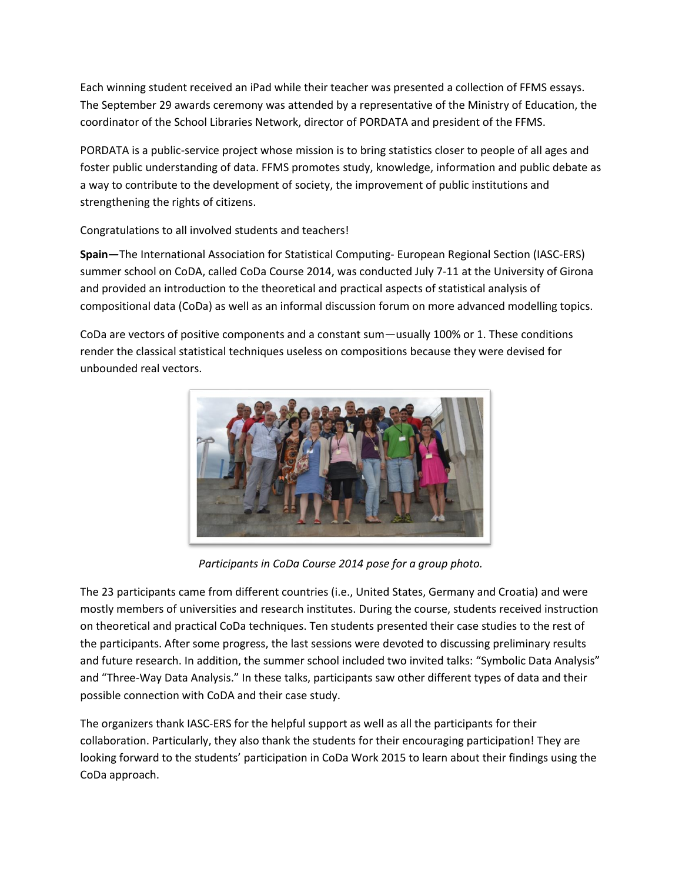Each winning student received an iPad while their teacher was presented a collection of FFMS essays. The September 29 awards ceremony was attended by a representative of the Ministry of Education, the coordinator of the School Libraries Network, director of PORDATA and president of the FFMS.

PORDATA is a public-service project whose mission is to bring statistics closer to people of all ages and foster public understanding of data. FFMS promotes study, knowledge, information and public debate as a way to contribute to the development of society, the improvement of public institutions and strengthening the rights of citizens.

Congratulations to all involved students and teachers!

**Spain—**The International Association for Statistical Computing- European Regional Section (IASC-ERS) summer school on CoDA, called CoDa Course 2014, was conducted July 7-11 at the University of Girona and provided an introduction to the theoretical and practical aspects of statistical analysis of compositional data (CoDa) as well as an informal discussion forum on more advanced modelling topics.

CoDa are vectors of positive components and a constant sum—usually 100% or 1. These conditions render the classical statistical techniques useless on compositions because they were devised for unbounded real vectors.



*Participants in CoDa Course 2014 pose for a group photo.*

The 23 participants came from different countries (i.e., United States, Germany and Croatia) and were mostly members of universities and research institutes. During the course, students received instruction on theoretical and practical CoDa techniques. Ten students presented their case studies to the rest of the participants. After some progress, the last sessions were devoted to discussing preliminary results and future research. In addition, the summer school included two invited talks: "Symbolic Data Analysis" and "Three-Way Data Analysis." In these talks, participants saw other different types of data and their possible connection with CoDA and their case study.

The organizers thank IASC-ERS for the helpful support as well as all the participants for their collaboration. Particularly, they also thank the students for their encouraging participation! They are looking forward to the students' participation in CoDa Work 2015 to learn about their findings using the CoDa approach.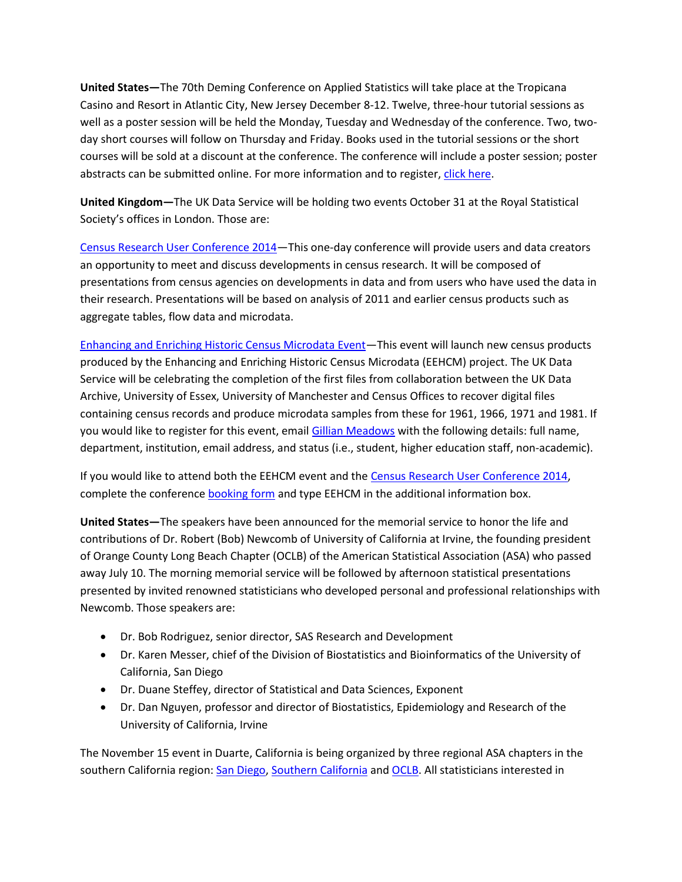**United States—**The 70th Deming Conference on Applied Statistics will take place at the Tropicana Casino and Resort in Atlantic City, New Jersey December 8-12. Twelve, three-hour tutorial sessions as well as a poster session will be held the Monday, Tuesday and Wednesday of the conference. Two, twoday short courses will follow on Thursday and Friday. Books used in the tutorial sessions or the short courses will be sold at a discount at the conference. The conference will include a poster session; poster abstracts can be submitted online. For more information and to register[, click here.](http://www.demingconference.com/)

**United Kingdom—**The UK Data Service will be holding two events October 31 at the Royal Statistical Society's offices in London. Those are:

[Census Research User Conference 2014](http://census.ukdataservice.ac.uk/news-and-events/eventsitem/?id=3867)—This one-day conference will provide users and data creators an opportunity to meet and discuss developments in census research. It will be composed of presentations from census agencies on developments in data and from users who have used the data in their research. Presentations will be based on analysis of 2011 and earlier census products such as aggregate tables, flow data and microdata.

[Enhancing and Enriching Historic Census Microdata Event](http://census.ukdataservice.ac.uk/news-and-events/eventsitem/?id=3890)—This event will launch new census products produced by the Enhancing and Enriching Historic Census Microdata (EEHCM) project. The UK Data Service will be celebrating the completion of the first files from collaboration between the UK Data Archive, University of Essex, University of Manchester and Census Offices to recover digital files containing census records and produce microdata samples from these for 1961, 1966, 1971 and 1981. If you would like to register for this event, email [Gillian Meadows](mailto:gillian.meadows@manchester.ac.uk) with the following details: full name, department, institution, email address, and status (i.e., student, higher education staff, non-academic).

If you would like to attend both the EEHCM event and the [Census Research User Conference 2014,](http://census.ukdataservice.ac.uk/news-and-events/eventsitem/?id=3867) complete the conference [booking form](http://www.esds.ac.uk/news/UKDSEventManagement.asp?id=3867) and type EEHCM in the additional information box.

**United States—**The speakers have been announced for the memorial service to honor the life and contributions of Dr. Robert (Bob) Newcomb of University of California at Irvine, the founding president of Orange County Long Beach Chapter (OCLB) of the American Statistical Association (ASA) who passed away July 10. The morning memorial service will be followed by afternoon statistical presentations presented by invited renowned statisticians who developed personal and professional relationships with Newcomb. Those speakers are:

- Dr. Bob Rodriguez, senior director, SAS Research and Development
- Dr. Karen Messer, chief of the Division of Biostatistics and Bioinformatics of the University of California, San Diego
- Dr. Duane Steffey, director of Statistical and Data Sciences, Exponent
- Dr. Dan Nguyen, professor and director of Biostatistics, Epidemiology and Research of the University of California, Irvine

The November 15 event in Duarte, California is being organized by three regional ASA chapters in the southern California region: [San Diego,](http://community.amstat.org/SDASA/Home/) [Southern California](http://www.sc-asa.org/) and [OCLB.](http://community.amstat.org/OCLB/Home/) All statisticians interested in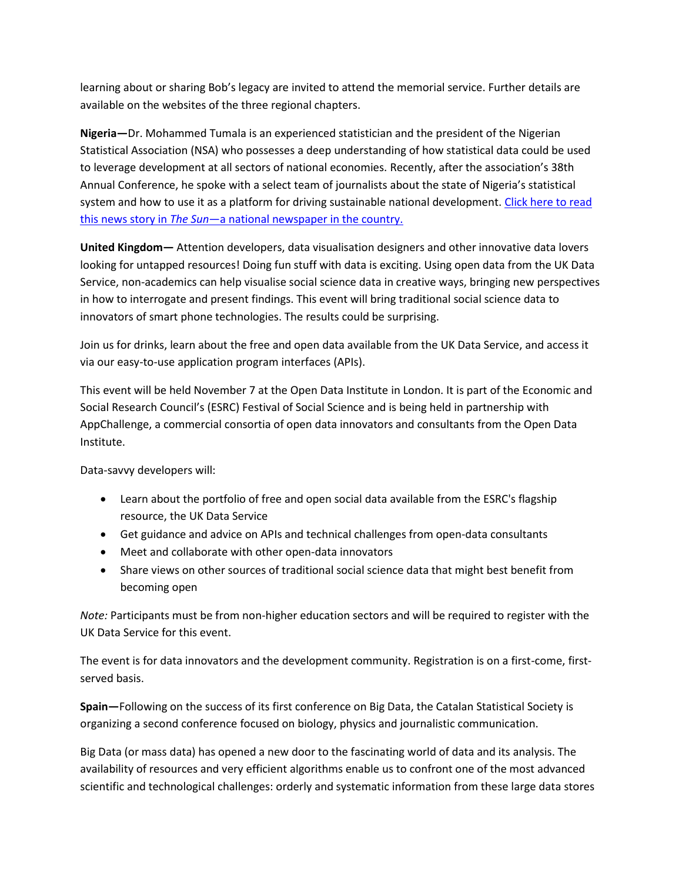learning about or sharing Bob's legacy are invited to attend the memorial service. Further details are available on the websites of the three regional chapters.

**Nigeria—**Dr. Mohammed Tumala is an experienced statistician and the president of the Nigerian Statistical Association (NSA) who possesses a deep understanding of how statistical data could be used to leverage development at all sectors of national economies. Recently, after the association's 38th Annual Conference, he spoke with a select team of journalists about the state of Nigeria's statistical system and how to use it as a platform for driving sustainable national development. Click here to read this news story in *The Sun*—[a national newspaper in the country.](http://sunnewsonline.com/new/?p=81353)

**United Kingdom—** Attention developers, data visualisation designers and other innovative data lovers looking for untapped resources! Doing fun stuff with data is exciting. Using open data from the UK Data Service, non-academics can help visualise social science data in creative ways, bringing new perspectives in how to interrogate and present findings. This event will bring traditional social science data to innovators of smart phone technologies. The results could be surprising.

Join us for drinks, learn about the free and open data available from the UK Data Service, and access it via our easy-to-use application program interfaces (APIs).

This event will be held November 7 at the Open Data Institute in London. It is part of the Economic and Social Research Council's (ESRC) Festival of Social Science and is being held in partnership with AppChallenge, a commercial consortia of open data innovators and consultants from the Open Data Institute.

Data-savvy developers will:

- Learn about the portfolio of free and open social data available from the ESRC's flagship resource, the UK Data Service
- Get guidance and advice on APIs and technical challenges from open-data consultants
- Meet and collaborate with other open-data innovators
- Share views on other sources of traditional social science data that might best benefit from becoming open

*Note:* Participants must be from non-higher education sectors and will be required to register with the UK Data Service for this event.

The event is for data innovators and the development community. Registration is on a first-come, firstserved basis.

**Spain—**Following on the success of its first conference on Big Data, the Catalan Statistical Society is organizing a second conference focused on biology, physics and journalistic communication.

Big Data (or mass data) has opened a new door to the fascinating world of data and its analysis. The availability of resources and very efficient algorithms enable us to confront one of the most advanced scientific and technological challenges: orderly and systematic information from these large data stores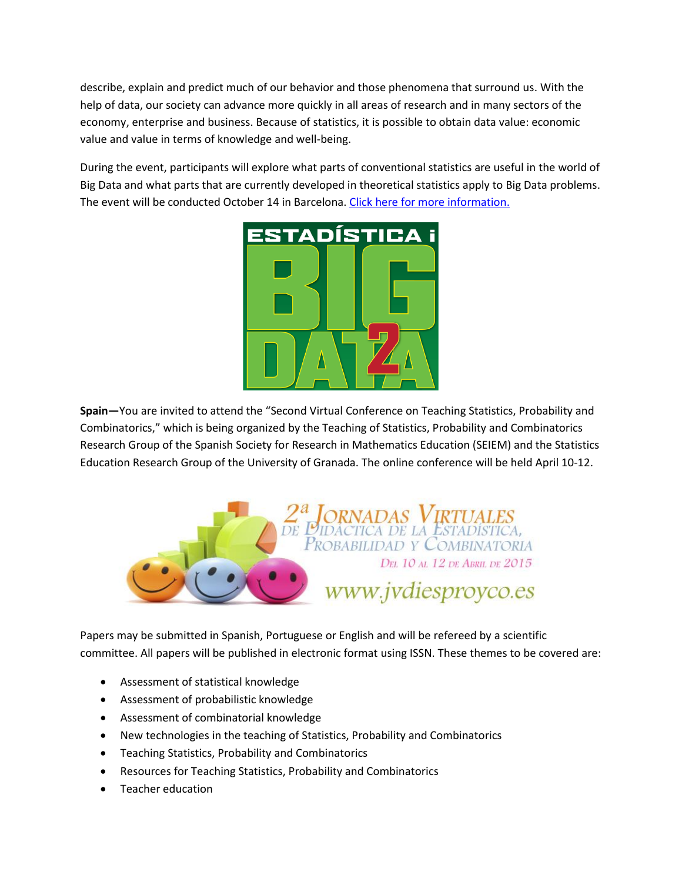describe, explain and predict much of our behavior and those phenomena that surround us. With the help of data, our society can advance more quickly in all areas of research and in many sectors of the economy, enterprise and business. Because of statistics, it is possible to obtain data value: economic value and value in terms of knowledge and well-being.

During the event, participants will explore what parts of conventional statistics are useful in the world of Big Data and what parts that are currently developed in theoretical statistics apply to Big Data problems. The event will be conducted October 14 in Barcelona. [Click here for more information.](http://www.socestadistica.org/)



**Spain—**You are invited to attend the "Second Virtual Conference on Teaching Statistics, Probability and Combinatorics," which is being organized by the Teaching of Statistics, Probability and Combinatorics Research Group of the Spanish Society for Research in Mathematics Education (SEIEM) and the Statistics Education Research Group of the University of Granada. The online conference will be held April 10-12.



Papers may be submitted in Spanish, Portuguese or English and will be refereed by a scientific committee. All papers will be published in electronic format using ISSN. These themes to be covered are:

- Assessment of statistical knowledge
- Assessment of probabilistic knowledge
- Assessment of combinatorial knowledge
- New technologies in the teaching of Statistics, Probability and Combinatorics
- **•** Teaching Statistics, Probability and Combinatorics
- Resources for Teaching Statistics, Probability and Combinatorics
- Teacher education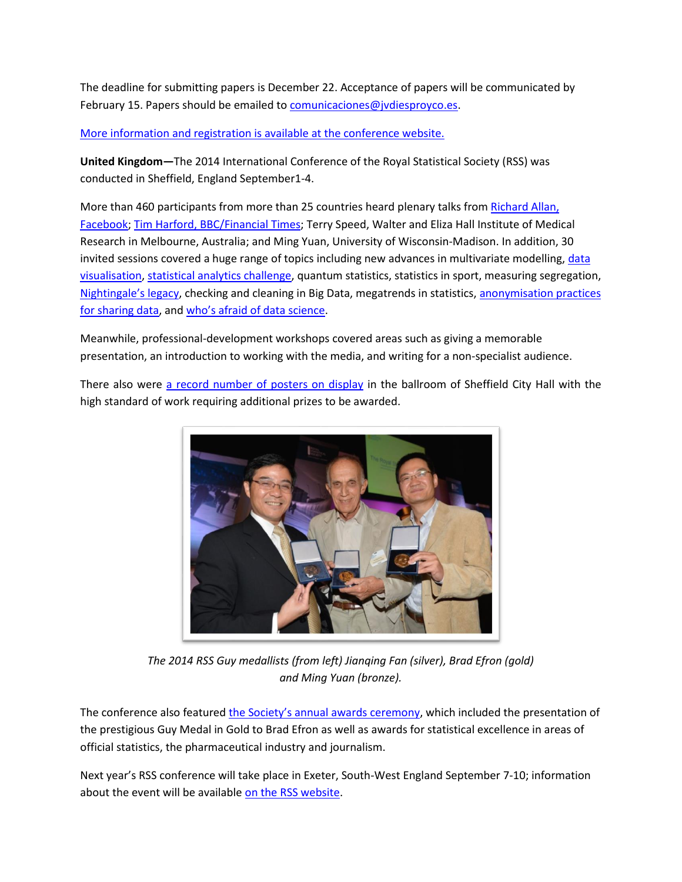The deadline for submitting papers is December 22. Acceptance of papers will be communicated by February 15. Papers should be emailed to [comunicaciones@jvdiesproyco.es.](mailto:comunicaciones@jvdiesproyco.es)

[More information and registration is available at the conference website.](http://www.jvdiesproyco.es/)

**United Kingdom—**The 2014 International Conference of the Royal Statistical Society (RSS) was conducted in Sheffield, England September1-4.

More than 460 participants from more than 25 countries heard plenary talks from Richard Allan, [Facebook;](http://tinyurl.com/nk4gzds) Tim Harford, [BBC/Financial Times;](http://tinyurl.com/pt7ecq9) Terry Speed, Walter and Eliza Hall Institute of Medical Research in Melbourne, Australia; and Ming Yuan, University of Wisconsin-Madison. In addition, 30 invited sessions covered a huge range of topics including new advances in multivariate modelling, data [visualisation,](http://tinyurl.com/px4p47p) [statistical analytics challenge,](http://tinyurl.com/q9f3pxc) quantum statistics, statistics in sport, measuring segregation, [Nightingale's legacy](http://tinyurl.com/nrk9u76), checking and cleaning in Big Data, megatrends in statistics[, anonymisation practices](http://tinyurl.com/nwv8c97)  [for sharing data,](http://tinyurl.com/nwv8c97) and [who's afraid of data science](http://tinyurl.com/p3fkhy9).

Meanwhile, professional-development workshops covered areas such as giving a memorable presentation, an introduction to working with the media, and writing for a non-specialist audience.

There also were [a record number of posters on display](http://tinyurl.com/pjyx328) in the ballroom of Sheffield City Hall with the high standard of work requiring additional prizes to be awarded.



*The 2014 RSS Guy medallists (from left) Jianqing Fan (silver), Brad Efron (gold) and Ming Yuan (bronze).*

The conference also featured [the Society's annual awards ceremony](http://tinyurl.com/otjuvot), which included the presentation of the prestigious Guy Medal in Gold to Brad Efron as well as awards for statistical excellence in areas of official statistics, the pharmaceutical industry and journalism.

Next year's RSS conference will take place in Exeter, South-West England September 7-10; information about the event will be available [on the RSS website.](http://www.rssconference.org.uk/)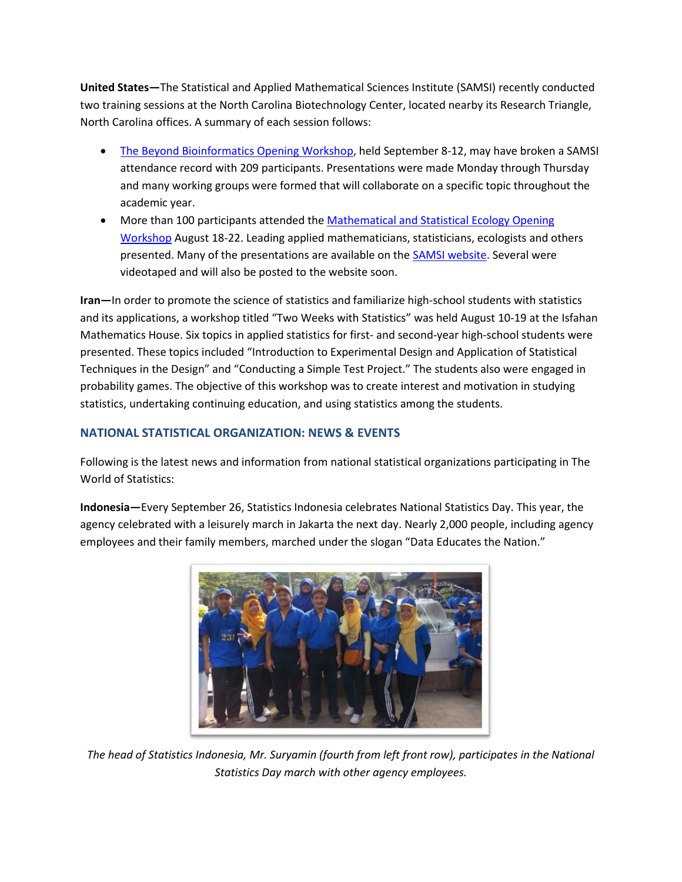**United States—**The Statistical and Applied Mathematical Sciences Institute (SAMSI) recently conducted two training sessions at the North Carolina Biotechnology Center, located nearby its Research Triangle, North Carolina offices. A summary of each session follows:

- [The Beyond Bioinformatics Opening Workshop,](http://www.samsi.info/workshop/2014-15-bioinformatics-opening-workshop-september-8-12-2014) held September 8-12, may have broken a SAMSI attendance record with 209 participants. Presentations were made Monday through Thursday and many working groups were formed that will collaborate on a specific topic throughout the academic year.
- More than 100 participants attended the Mathematical and Statistical Ecology Opening [Workshop](http://www.samsi.info/workshop/2014-15-ecol-opening-workshop-august-18-22-2014) August 18-22. Leading applied mathematicians, statisticians, ecologists and others presented. Many of the presentations are available on the **SAMSI website**. Several were videotaped and will also be posted to the website soon.

**Iran—**In order to promote the science of statistics and familiarize high-school students with statistics and its applications, a workshop titled "Two Weeks with Statistics" was held August 10-19 at the Isfahan Mathematics House. Six topics in applied statistics for first- and second-year high-school students were presented. These topics included "Introduction to Experimental Design and Application of Statistical Techniques in the Design" and "Conducting a Simple Test Project." The students also were engaged in probability games. The objective of this workshop was to create interest and motivation in studying statistics, undertaking continuing education, and using statistics among the students.

## <span id="page-14-0"></span>**NATIONAL STATISTICAL ORGANIZATION: NEWS & EVENTS**

Following is the latest news and information from national statistical organizations participating in The World of Statistics:

**Indonesia—**Every September 26, Statistics Indonesia celebrates National Statistics Day. This year, the agency celebrated with a leisurely march in Jakarta the next day. Nearly 2,000 people, including agency employees and their family members, marched under the slogan "Data Educates the Nation."



*The head of Statistics Indonesia, Mr. Suryamin (fourth from left front row), participates in the National Statistics Day march with other agency employees.*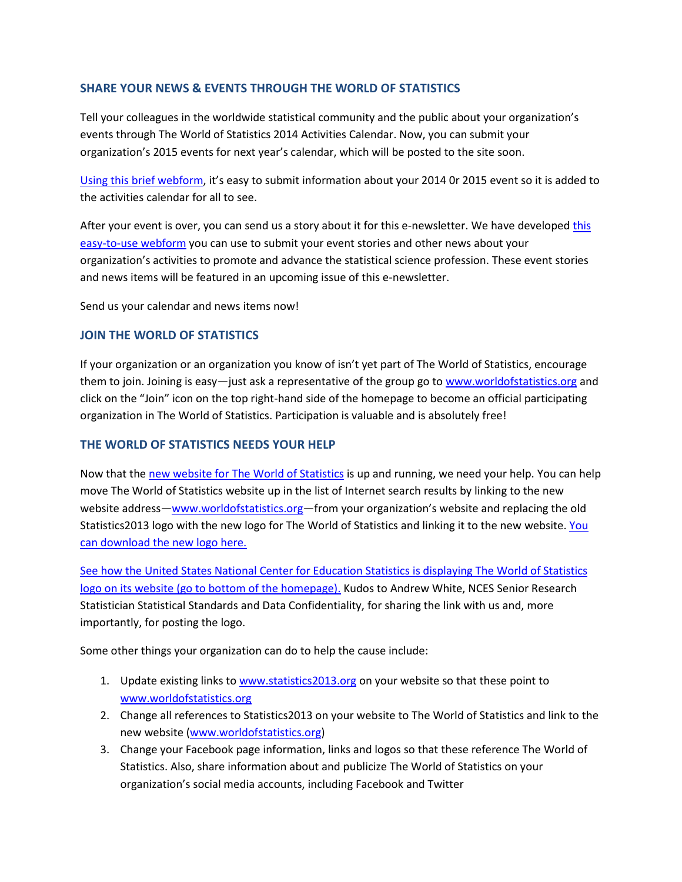## <span id="page-15-0"></span>**SHARE YOUR NEWS & EVENTS THROUGH THE WORLD OF STATISTICS**

Tell your colleagues in the worldwide statistical community and the public about your organization's events through The World of Statistics 2014 Activities Calendar. Now, you can submit your organization's 2015 events for next year's calendar, which will be posted to the site soon.

[Using this brief webform](http://www.worldofstatistics.org/wos/submitactivity.cfm), it's easy to submit information about your 2014 0r 2015 event so it is added to the activities calendar for all to see.

After your event is over, you can send us a story about it for [this](http://www.worldofstatistics.org/wos/submitarticle.cfm) e-newsletter. We have developed this [easy-to-use webform](http://www.worldofstatistics.org/wos/submitarticle.cfm) you can use to submit your event stories and other news about your organization's activities to promote and advance the statistical science profession. These event stories and news items will be featured in an upcoming issue of this e-newsletter.

Send us your calendar and news items now!

## <span id="page-15-1"></span>**JOIN THE WORLD OF STATISTICS**

If your organization or an organization you know of isn't yet part of The World of Statistics, encourage them to join. Joining is easy—just ask a representative of the group go to [www.worldofstatistics.org](http://www.worldofstatistics.org/) and click on the "Join" icon on the top right-hand side of the homepage to become an official participating organization in The World of Statistics. Participation is valuable and is absolutely free!

## <span id="page-15-2"></span>**THE WORLD OF STATISTICS NEEDS YOUR HELP**

Now that th[e new website for The World of Statistics](http://www.worldofstatistics.org/) is up and running, we need your help. You can help move The World of Statistics website up in the list of Internet search results by linking to the new website address—[www.worldofstatistics.org](http://www.worldofstatistics.org/)—from your organization's website and replacing the old Statistics2013 logo with the new logo for The World of Statistics and linking it to the new website. You [can download the new logo here.](http://www.worldofstatistics.org/wos/logos.cfm)

[See how the United States National Center for Education Statistics](http://nces.ed.gov/) is displaying The World of Statistics logo on its website [\(go to bottom of the homepage\).](http://nces.ed.gov/) Kudos to Andrew White, NCES Senior Research Statistician Statistical Standards and Data Confidentiality, for sharing the link with us and, more importantly, for posting the logo.

Some other things your organization can do to help the cause include:

- 1. Update existing links to [www.statistics2013.org](http://www.statistics2013.org/) on your website so that these point to [www.worldofstatistics.org](http://www.worldofstatistics.org/)
- 2. Change all references to Statistics2013 on your website to The World of Statistics and link to the new website [\(www.worldofstatistics.org\)](http://www.worldofstatistics.org/)
- 3. Change your Facebook page information, links and logos so that these reference The World of Statistics. Also, share information about and publicize The World of Statistics on your organization's social media accounts, including Facebook and Twitter